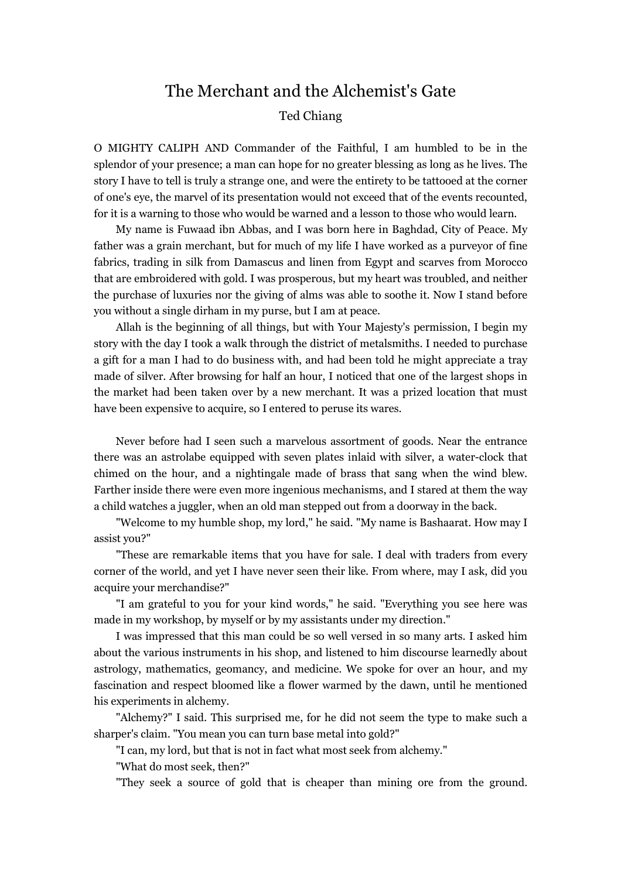## The Merchant and the Alchemist's Gate Ted Chiang

O MIGHTY CALIPH AND Commander of the Faithful, I am humbled to be in the splendor of your presence; a man can hope for no greater blessing as long as he lives. The story I have to tell is truly a strange one, and were the entirety to be tattooed at the corner of one's eye, the marvel of its presentation would not exceed that of the events recounted, for it is a warning to those who would be warned and a lesson to those who would learn.

 My name is Fuwaad ibn Abbas, and I was born here in Baghdad, City of Peace. My father was a grain merchant, but for much of my life I have worked as a purveyor of fine fabrics, trading in silk from Damascus and linen from Egypt and scarves from Morocco that are embroidered with gold. I was prosperous, but my heart was troubled, and neither the purchase of luxuries nor the giving of alms was able to soothe it. Now I stand before you without a single dirham in my purse, but I am at peace.

 Allah is the beginning of all things, but with Your Majesty's permission, I begin my story with the day I took a walk through the district of metalsmiths. I needed to purchase a gift for a man I had to do business with, and had been told he might appreciate a tray made of silver. After browsing for half an hour, I noticed that one of the largest shops in the market had been taken over by a new merchant. It was a prized location that must have been expensive to acquire, so I entered to peruse its wares.

 Never before had I seen such a marvelous assortment of goods. Near the entrance there was an astrolabe equipped with seven plates inlaid with silver, a water-clock that chimed on the hour, and a nightingale made of brass that sang when the wind blew. Farther inside there were even more ingenious mechanisms, and I stared at them the way a child watches a juggler, when an old man stepped out from a doorway in the back.

 "Welcome to my humble shop, my lord," he said. "My name is Bashaarat. How may I assist you?"

 "These are remarkable items that you have for sale. I deal with traders from every corner of the world, and yet I have never seen their like. From where, may I ask, did you acquire your merchandise?"

 "I am grateful to you for your kind words," he said. "Everything you see here was made in my workshop, by myself or by my assistants under my direction."

 I was impressed that this man could be so well versed in so many arts. I asked him about the various instruments in his shop, and listened to him discourse learnedly about astrology, mathematics, geomancy, and medicine. We spoke for over an hour, and my fascination and respect bloomed like a flower warmed by the dawn, until he mentioned his experiments in alchemy.

 "Alchemy?" I said. This surprised me, for he did not seem the type to make such a sharper's claim. "You mean you can turn base metal into gold?"

"I can, my lord, but that is not in fact what most seek from alchemy."

"What do most seek, then?"

"They seek a source of gold that is cheaper than mining ore from the ground.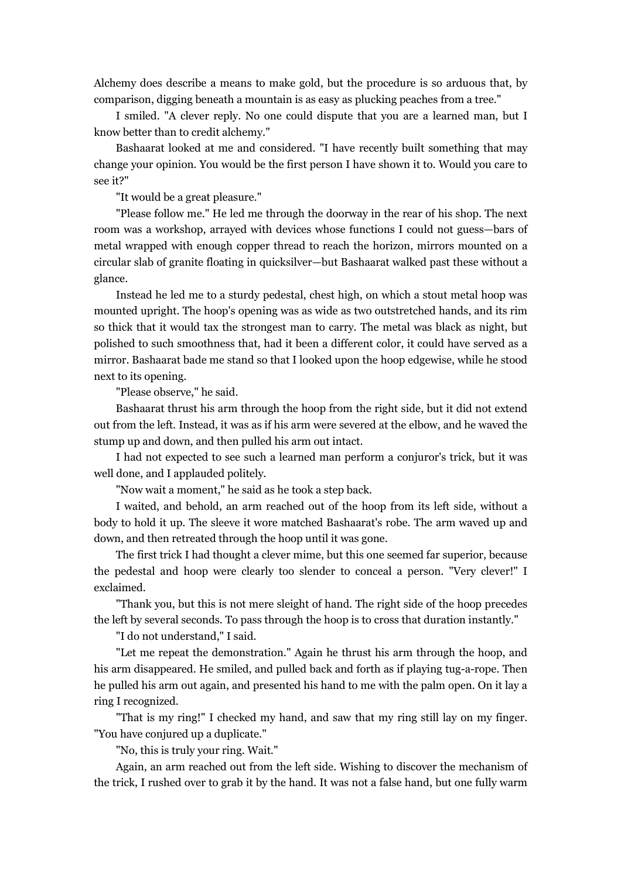Alchemy does describe a means to make gold, but the procedure is so arduous that, by comparison, digging beneath a mountain is as easy as plucking peaches from a tree."

 I smiled. "A clever reply. No one could dispute that you are a learned man, but I know better than to credit alchemy."

 Bashaarat looked at me and considered. "I have recently built something that may change your opinion. You would be the first person I have shown it to. Would you care to see it?"

"It would be a great pleasure."

 "Please follow me." He led me through the doorway in the rear of his shop. The next room was a workshop, arrayed with devices whose functions I could not guess—bars of metal wrapped with enough copper thread to reach the horizon, mirrors mounted on a circular slab of granite floating in quicksilver—but Bashaarat walked past these without a glance.

 Instead he led me to a sturdy pedestal, chest high, on which a stout metal hoop was mounted upright. The hoop's opening was as wide as two outstretched hands, and its rim so thick that it would tax the strongest man to carry. The metal was black as night, but polished to such smoothness that, had it been a different color, it could have served as a mirror. Bashaarat bade me stand so that I looked upon the hoop edgewise, while he stood next to its opening.

"Please observe," he said.

 Bashaarat thrust his arm through the hoop from the right side, but it did not extend out from the left. Instead, it was as if his arm were severed at the elbow, and he waved the stump up and down, and then pulled his arm out intact.

 I had not expected to see such a learned man perform a conjuror's trick, but it was well done, and I applauded politely.

"Now wait a moment," he said as he took a step back.

 I waited, and behold, an arm reached out of the hoop from its left side, without a body to hold it up. The sleeve it wore matched Bashaarat's robe. The arm waved up and down, and then retreated through the hoop until it was gone.

 The first trick I had thought a clever mime, but this one seemed far superior, because the pedestal and hoop were clearly too slender to conceal a person. "Very clever!" I exclaimed.

 "Thank you, but this is not mere sleight of hand. The right side of the hoop precedes the left by several seconds. To pass through the hoop is to cross that duration instantly."

"I do not understand," I said.

 "Let me repeat the demonstration." Again he thrust his arm through the hoop, and his arm disappeared. He smiled, and pulled back and forth as if playing tug-a-rope. Then he pulled his arm out again, and presented his hand to me with the palm open. On it lay a ring I recognized.

 "That is my ring!" I checked my hand, and saw that my ring still lay on my finger. "You have conjured up a duplicate."

"No, this is truly your ring. Wait."

 Again, an arm reached out from the left side. Wishing to discover the mechanism of the trick, I rushed over to grab it by the hand. It was not a false hand, but one fully warm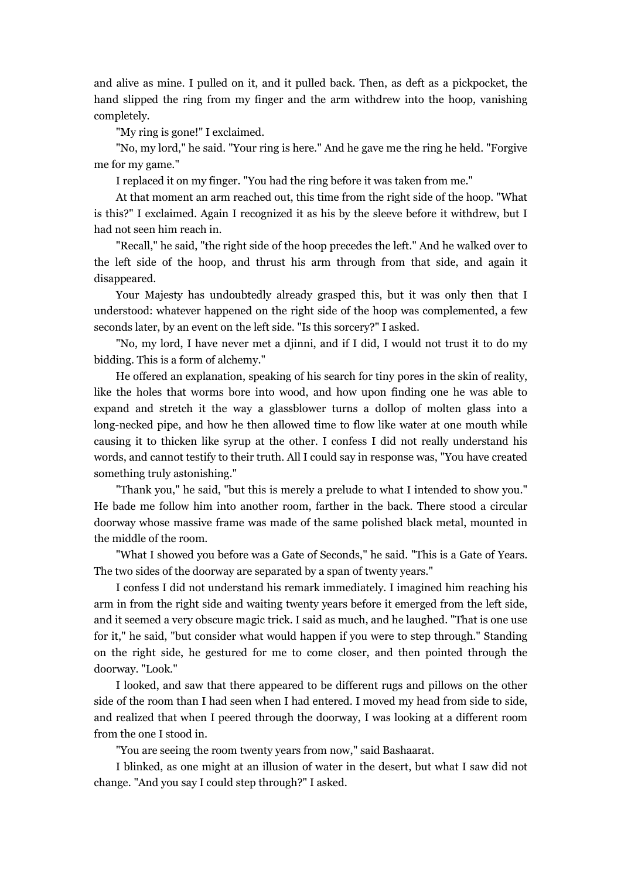and alive as mine. I pulled on it, and it pulled back. Then, as deft as a pickpocket, the hand slipped the ring from my finger and the arm withdrew into the hoop, vanishing completely.

"My ring is gone!" I exclaimed.

 "No, my lord," he said. "Your ring is here." And he gave me the ring he held. "Forgive me for my game."

I replaced it on my finger. "You had the ring before it was taken from me."

 At that moment an arm reached out, this time from the right side of the hoop. "What is this?" I exclaimed. Again I recognized it as his by the sleeve before it withdrew, but I had not seen him reach in.

 "Recall," he said, "the right side of the hoop precedes the left." And he walked over to the left side of the hoop, and thrust his arm through from that side, and again it disappeared.

 Your Majesty has undoubtedly already grasped this, but it was only then that I understood: whatever happened on the right side of the hoop was complemented, a few seconds later, by an event on the left side. "Is this sorcery?" I asked.

 "No, my lord, I have never met a djinni, and if I did, I would not trust it to do my bidding. This is a form of alchemy."

 He offered an explanation, speaking of his search for tiny pores in the skin of reality, like the holes that worms bore into wood, and how upon finding one he was able to expand and stretch it the way a glassblower turns a dollop of molten glass into a long-necked pipe, and how he then allowed time to flow like water at one mouth while causing it to thicken like syrup at the other. I confess I did not really understand his words, and cannot testify to their truth. All I could say in response was, "You have created something truly astonishing."

 "Thank you," he said, "but this is merely a prelude to what I intended to show you." He bade me follow him into another room, farther in the back. There stood a circular doorway whose massive frame was made of the same polished black metal, mounted in the middle of the room.

 "What I showed you before was a Gate of Seconds," he said. "This is a Gate of Years. The two sides of the doorway are separated by a span of twenty years."

 I confess I did not understand his remark immediately. I imagined him reaching his arm in from the right side and waiting twenty years before it emerged from the left side, and it seemed a very obscure magic trick. I said as much, and he laughed. "That is one use for it," he said, "but consider what would happen if you were to step through." Standing on the right side, he gestured for me to come closer, and then pointed through the doorway. "Look."

 I looked, and saw that there appeared to be different rugs and pillows on the other side of the room than I had seen when I had entered. I moved my head from side to side, and realized that when I peered through the doorway, I was looking at a different room from the one I stood in.

"You are seeing the room twenty years from now," said Bashaarat.

 I blinked, as one might at an illusion of water in the desert, but what I saw did not change. "And you say I could step through?" I asked.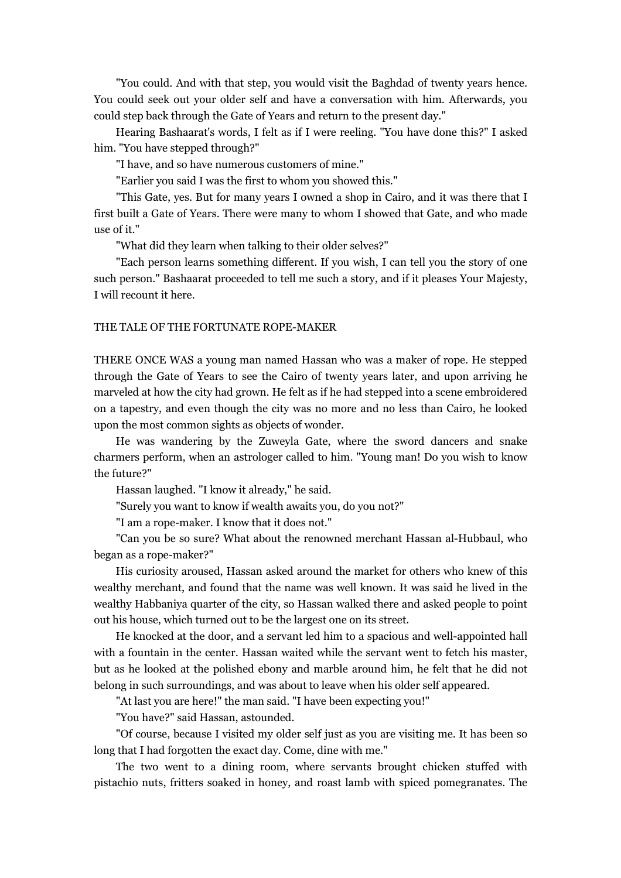"You could. And with that step, you would visit the Baghdad of twenty years hence. You could seek out your older self and have a conversation with him. Afterwards, you could step back through the Gate of Years and return to the present day."

 Hearing Bashaarat's words, I felt as if I were reeling. "You have done this?" I asked him. "You have stepped through?"

"I have, and so have numerous customers of mine."

"Earlier you said I was the first to whom you showed this."

 "This Gate, yes. But for many years I owned a shop in Cairo, and it was there that I first built a Gate of Years. There were many to whom I showed that Gate, and who made use of it."

"What did they learn when talking to their older selves?"

 "Each person learns something different. If you wish, I can tell you the story of one such person." Bashaarat proceeded to tell me such a story, and if it pleases Your Majesty, I will recount it here.

## THE TALE OF THE FORTUNATE ROPE-MAKER

THERE ONCE WAS a young man named Hassan who was a maker of rope. He stepped through the Gate of Years to see the Cairo of twenty years later, and upon arriving he marveled at how the city had grown. He felt as if he had stepped into a scene embroidered on a tapestry, and even though the city was no more and no less than Cairo, he looked upon the most common sights as objects of wonder.

 He was wandering by the Zuweyla Gate, where the sword dancers and snake charmers perform, when an astrologer called to him. "Young man! Do you wish to know the future?"

Hassan laughed. "I know it already," he said.

"Surely you want to know if wealth awaits you, do you not?"

"I am a rope-maker. I know that it does not."

 "Can you be so sure? What about the renowned merchant Hassan al-Hubbaul, who began as a rope-maker?"

 His curiosity aroused, Hassan asked around the market for others who knew of this wealthy merchant, and found that the name was well known. It was said he lived in the wealthy Habbaniya quarter of the city, so Hassan walked there and asked people to point out his house, which turned out to be the largest one on its street.

 He knocked at the door, and a servant led him to a spacious and well-appointed hall with a fountain in the center. Hassan waited while the servant went to fetch his master, but as he looked at the polished ebony and marble around him, he felt that he did not belong in such surroundings, and was about to leave when his older self appeared.

"At last you are here!" the man said. "I have been expecting you!"

"You have?" said Hassan, astounded.

 "Of course, because I visited my older self just as you are visiting me. It has been so long that I had forgotten the exact day. Come, dine with me."

 The two went to a dining room, where servants brought chicken stuffed with pistachio nuts, fritters soaked in honey, and roast lamb with spiced pomegranates. The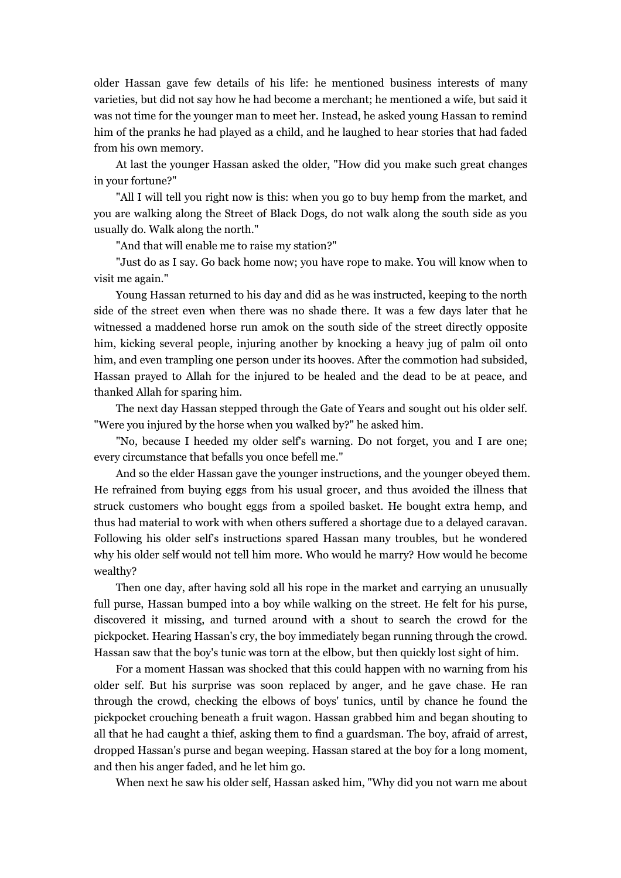older Hassan gave few details of his life: he mentioned business interests of many varieties, but did not say how he had become a merchant; he mentioned a wife, but said it was not time for the younger man to meet her. Instead, he asked young Hassan to remind him of the pranks he had played as a child, and he laughed to hear stories that had faded from his own memory.

 At last the younger Hassan asked the older, "How did you make such great changes in your fortune?"

 "All I will tell you right now is this: when you go to buy hemp from the market, and you are walking along the Street of Black Dogs, do not walk along the south side as you usually do. Walk along the north."

"And that will enable me to raise my station?"

 "Just do as I say. Go back home now; you have rope to make. You will know when to visit me again."

 Young Hassan returned to his day and did as he was instructed, keeping to the north side of the street even when there was no shade there. It was a few days later that he witnessed a maddened horse run amok on the south side of the street directly opposite him, kicking several people, injuring another by knocking a heavy jug of palm oil onto him, and even trampling one person under its hooves. After the commotion had subsided, Hassan prayed to Allah for the injured to be healed and the dead to be at peace, and thanked Allah for sparing him.

 The next day Hassan stepped through the Gate of Years and sought out his older self. "Were you injured by the horse when you walked by?" he asked him.

 "No, because I heeded my older self's warning. Do not forget, you and I are one; every circumstance that befalls you once befell me."

 And so the elder Hassan gave the younger instructions, and the younger obeyed them. He refrained from buying eggs from his usual grocer, and thus avoided the illness that struck customers who bought eggs from a spoiled basket. He bought extra hemp, and thus had material to work with when others suffered a shortage due to a delayed caravan. Following his older self's instructions spared Hassan many troubles, but he wondered why his older self would not tell him more. Who would he marry? How would he become wealthy?

 Then one day, after having sold all his rope in the market and carrying an unusually full purse, Hassan bumped into a boy while walking on the street. He felt for his purse, discovered it missing, and turned around with a shout to search the crowd for the pickpocket. Hearing Hassan's cry, the boy immediately began running through the crowd. Hassan saw that the boy's tunic was torn at the elbow, but then quickly lost sight of him.

 For a moment Hassan was shocked that this could happen with no warning from his older self. But his surprise was soon replaced by anger, and he gave chase. He ran through the crowd, checking the elbows of boys' tunics, until by chance he found the pickpocket crouching beneath a fruit wagon. Hassan grabbed him and began shouting to all that he had caught a thief, asking them to find a guardsman. The boy, afraid of arrest, dropped Hassan's purse and began weeping. Hassan stared at the boy for a long moment, and then his anger faded, and he let him go.

When next he saw his older self, Hassan asked him, "Why did you not warn me about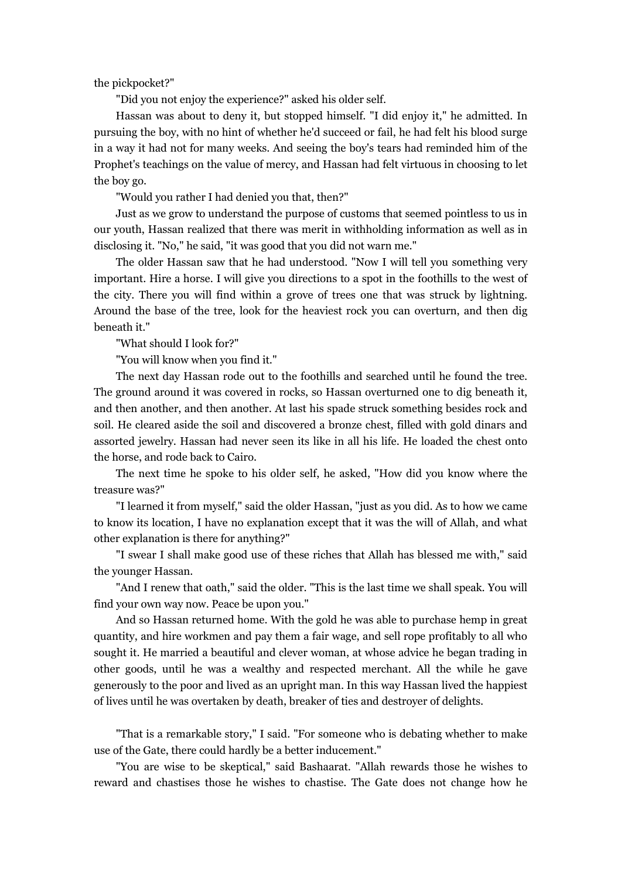the pickpocket?"

"Did you not enjoy the experience?" asked his older self.

 Hassan was about to deny it, but stopped himself. "I did enjoy it," he admitted. In pursuing the boy, with no hint of whether he'd succeed or fail, he had felt his blood surge in a way it had not for many weeks. And seeing the boy's tears had reminded him of the Prophet's teachings on the value of mercy, and Hassan had felt virtuous in choosing to let the boy go.

"Would you rather I had denied you that, then?"

 Just as we grow to understand the purpose of customs that seemed pointless to us in our youth, Hassan realized that there was merit in withholding information as well as in disclosing it. "No," he said, "it was good that you did not warn me."

 The older Hassan saw that he had understood. "Now I will tell you something very important. Hire a horse. I will give you directions to a spot in the foothills to the west of the city. There you will find within a grove of trees one that was struck by lightning. Around the base of the tree, look for the heaviest rock you can overturn, and then dig beneath it."

"What should I look for?"

"You will know when you find it."

 The next day Hassan rode out to the foothills and searched until he found the tree. The ground around it was covered in rocks, so Hassan overturned one to dig beneath it, and then another, and then another. At last his spade struck something besides rock and soil. He cleared aside the soil and discovered a bronze chest, filled with gold dinars and assorted jewelry. Hassan had never seen its like in all his life. He loaded the chest onto the horse, and rode back to Cairo.

 The next time he spoke to his older self, he asked, "How did you know where the treasure was?"

 "I learned it from myself," said the older Hassan, "just as you did. As to how we came to know its location, I have no explanation except that it was the will of Allah, and what other explanation is there for anything?"

 "I swear I shall make good use of these riches that Allah has blessed me with," said the younger Hassan.

 "And I renew that oath," said the older. "This is the last time we shall speak. You will find your own way now. Peace be upon you."

 And so Hassan returned home. With the gold he was able to purchase hemp in great quantity, and hire workmen and pay them a fair wage, and sell rope profitably to all who sought it. He married a beautiful and clever woman, at whose advice he began trading in other goods, until he was a wealthy and respected merchant. All the while he gave generously to the poor and lived as an upright man. In this way Hassan lived the happiest of lives until he was overtaken by death, breaker of ties and destroyer of delights.

 "That is a remarkable story," I said. "For someone who is debating whether to make use of the Gate, there could hardly be a better inducement."

 "You are wise to be skeptical," said Bashaarat. "Allah rewards those he wishes to reward and chastises those he wishes to chastise. The Gate does not change how he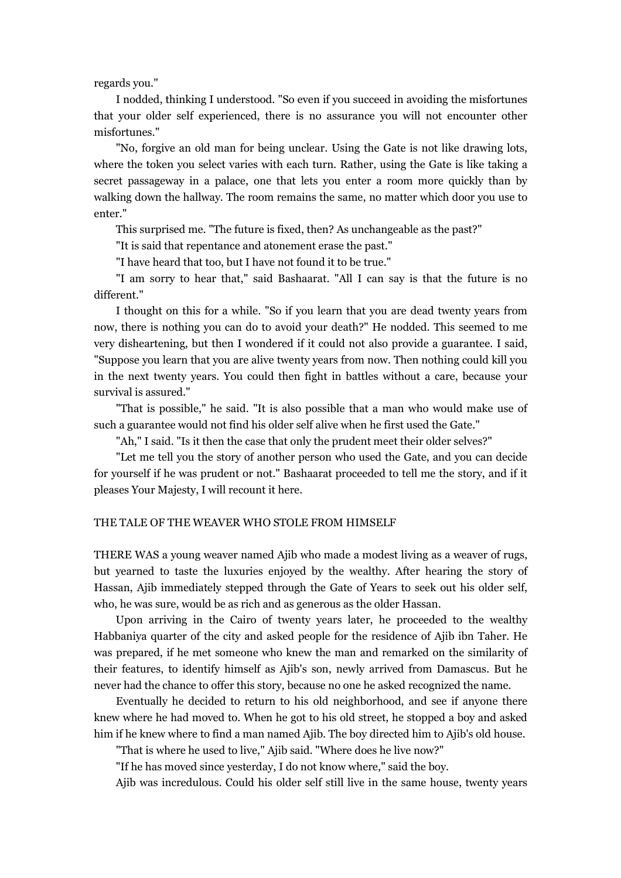regards you."

 I nodded, thinking I understood. "So even if you succeed in avoiding the misfortunes that your older self experienced, there is no assurance you will not encounter other misfortunes."

 "No, forgive an old man for being unclear. Using the Gate is not like drawing lots, where the token you select varies with each turn. Rather, using the Gate is like taking a secret passageway in a palace, one that lets you enter a room more quickly than by walking down the hallway. The room remains the same, no matter which door you use to enter."

This surprised me. "The future is fixed, then? As unchangeable as the past?"

"It is said that repentance and atonement erase the past."

"I have heard that too, but I have not found it to be true."

 "I am sorry to hear that," said Bashaarat. "All I can say is that the future is no different."

 I thought on this for a while. "So if you learn that you are dead twenty years from now, there is nothing you can do to avoid your death?" He nodded. This seemed to me very disheartening, but then I wondered if it could not also provide a guarantee. I said, "Suppose you learn that you are alive twenty years from now. Then nothing could kill you in the next twenty years. You could then fight in battles without a care, because your survival is assured."

 "That is possible," he said. "It is also possible that a man who would make use of such a guarantee would not find his older self alive when he first used the Gate."

"Ah," I said. "Is it then the case that only the prudent meet their older selves?"

 "Let me tell you the story of another person who used the Gate, and you can decide for yourself if he was prudent or not." Bashaarat proceeded to tell me the story, and if it pleases Your Majesty, I will recount it here.

## THE TALE OF THE WEAVER WHO STOLE FROM HIMSELF

THERE WAS a young weaver named Ajib who made a modest living as a weaver of rugs, but yearned to taste the luxuries enjoyed by the wealthy. After hearing the story of Hassan, Ajib immediately stepped through the Gate of Years to seek out his older self, who, he was sure, would be as rich and as generous as the older Hassan.

 Upon arriving in the Cairo of twenty years later, he proceeded to the wealthy Habbaniya quarter of the city and asked people for the residence of Ajib ibn Taher. He was prepared, if he met someone who knew the man and remarked on the similarity of their features, to identify himself as Ajib's son, newly arrived from Damascus. But he never had the chance to offer this story, because no one he asked recognized the name.

 Eventually he decided to return to his old neighborhood, and see if anyone there knew where he had moved to. When he got to his old street, he stopped a boy and asked him if he knew where to find a man named Ajib. The boy directed him to Ajib's old house.

"That is where he used to live," Ajib said. "Where does he live now?"

"If he has moved since yesterday, I do not know where," said the boy.

Ajib was incredulous. Could his older self still live in the same house, twenty years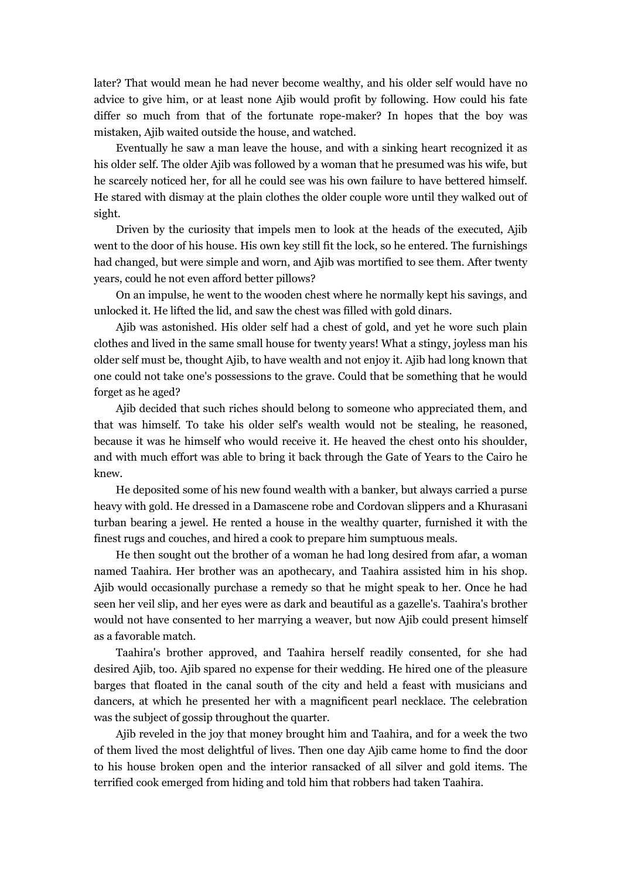later? That would mean he had never become wealthy, and his older self would have no advice to give him, or at least none Ajib would profit by following. How could his fate differ so much from that of the fortunate rope-maker? In hopes that the boy was mistaken, Ajib waited outside the house, and watched.

 Eventually he saw a man leave the house, and with a sinking heart recognized it as his older self. The older Ajib was followed by a woman that he presumed was his wife, but he scarcely noticed her, for all he could see was his own failure to have bettered himself. He stared with dismay at the plain clothes the older couple wore until they walked out of sight.

 Driven by the curiosity that impels men to look at the heads of the executed, Ajib went to the door of his house. His own key still fit the lock, so he entered. The furnishings had changed, but were simple and worn, and Ajib was mortified to see them. After twenty years, could he not even afford better pillows?

 On an impulse, he went to the wooden chest where he normally kept his savings, and unlocked it. He lifted the lid, and saw the chest was filled with gold dinars.

 Ajib was astonished. His older self had a chest of gold, and yet he wore such plain clothes and lived in the same small house for twenty years! What a stingy, joyless man his older self must be, thought Ajib, to have wealth and not enjoy it. Ajib had long known that one could not take one's possessions to the grave. Could that be something that he would forget as he aged?

 Ajib decided that such riches should belong to someone who appreciated them, and that was himself. To take his older self's wealth would not be stealing, he reasoned, because it was he himself who would receive it. He heaved the chest onto his shoulder, and with much effort was able to bring it back through the Gate of Years to the Cairo he knew.

 He deposited some of his new found wealth with a banker, but always carried a purse heavy with gold. He dressed in a Damascene robe and Cordovan slippers and a Khurasani turban bearing a jewel. He rented a house in the wealthy quarter, furnished it with the finest rugs and couches, and hired a cook to prepare him sumptuous meals.

 He then sought out the brother of a woman he had long desired from afar, a woman named Taahira. Her brother was an apothecary, and Taahira assisted him in his shop. Ajib would occasionally purchase a remedy so that he might speak to her. Once he had seen her veil slip, and her eyes were as dark and beautiful as a gazelle's. Taahira's brother would not have consented to her marrying a weaver, but now Ajib could present himself as a favorable match.

 Taahira's brother approved, and Taahira herself readily consented, for she had desired Ajib, too. Ajib spared no expense for their wedding. He hired one of the pleasure barges that floated in the canal south of the city and held a feast with musicians and dancers, at which he presented her with a magnificent pearl necklace. The celebration was the subject of gossip throughout the quarter.

 Ajib reveled in the joy that money brought him and Taahira, and for a week the two of them lived the most delightful of lives. Then one day Ajib came home to find the door to his house broken open and the interior ransacked of all silver and gold items. The terrified cook emerged from hiding and told him that robbers had taken Taahira.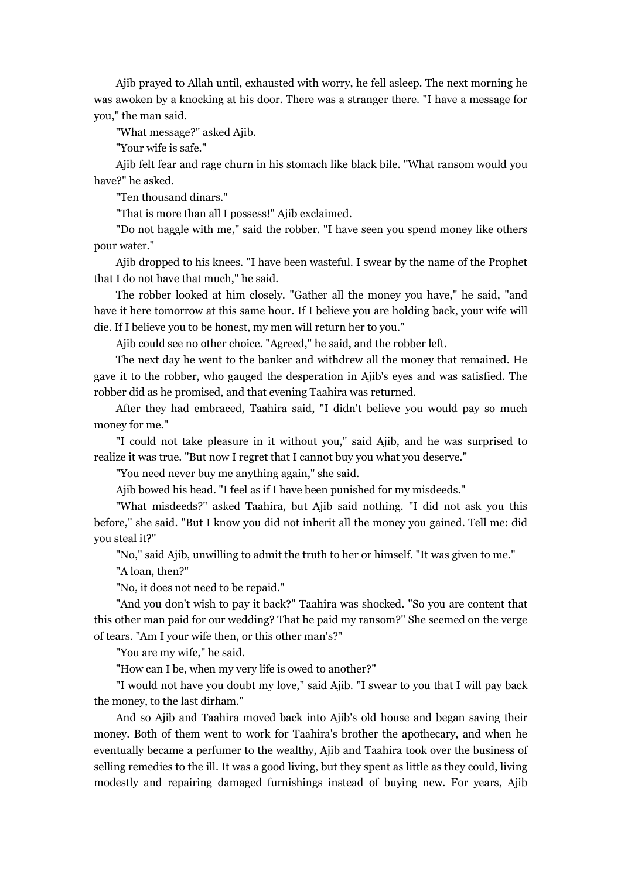Ajib prayed to Allah until, exhausted with worry, he fell asleep. The next morning he was awoken by a knocking at his door. There was a stranger there. "I have a message for you," the man said.

"What message?" asked Ajib.

"Your wife is safe."

 Ajib felt fear and rage churn in his stomach like black bile. "What ransom would you have?" he asked.

"Ten thousand dinars."

"That is more than all I possess!" Ajib exclaimed.

 "Do not haggle with me," said the robber. "I have seen you spend money like others pour water."

 Ajib dropped to his knees. "I have been wasteful. I swear by the name of the Prophet that I do not have that much," he said.

 The robber looked at him closely. "Gather all the money you have," he said, "and have it here tomorrow at this same hour. If I believe you are holding back, your wife will die. If I believe you to be honest, my men will return her to you."

Ajib could see no other choice. "Agreed," he said, and the robber left.

 The next day he went to the banker and withdrew all the money that remained. He gave it to the robber, who gauged the desperation in Ajib's eyes and was satisfied. The robber did as he promised, and that evening Taahira was returned.

 After they had embraced, Taahira said, "I didn't believe you would pay so much money for me."

 "I could not take pleasure in it without you," said Ajib, and he was surprised to realize it was true. "But now I regret that I cannot buy you what you deserve."

"You need never buy me anything again," she said.

Ajib bowed his head. "I feel as if I have been punished for my misdeeds."

 "What misdeeds?" asked Taahira, but Ajib said nothing. "I did not ask you this before," she said. "But I know you did not inherit all the money you gained. Tell me: did you steal it?"

"No," said Ajib, unwilling to admit the truth to her or himself. "It was given to me."

"A loan, then?"

"No, it does not need to be repaid."

 "And you don't wish to pay it back?" Taahira was shocked. "So you are content that this other man paid for our wedding? That he paid my ransom?" She seemed on the verge of tears. "Am I your wife then, or this other man's?"

"You are my wife," he said.

"How can I be, when my very life is owed to another?"

 "I would not have you doubt my love," said Ajib. "I swear to you that I will pay back the money, to the last dirham."

 And so Ajib and Taahira moved back into Ajib's old house and began saving their money. Both of them went to work for Taahira's brother the apothecary, and when he eventually became a perfumer to the wealthy, Ajib and Taahira took over the business of selling remedies to the ill. It was a good living, but they spent as little as they could, living modestly and repairing damaged furnishings instead of buying new. For years, Ajib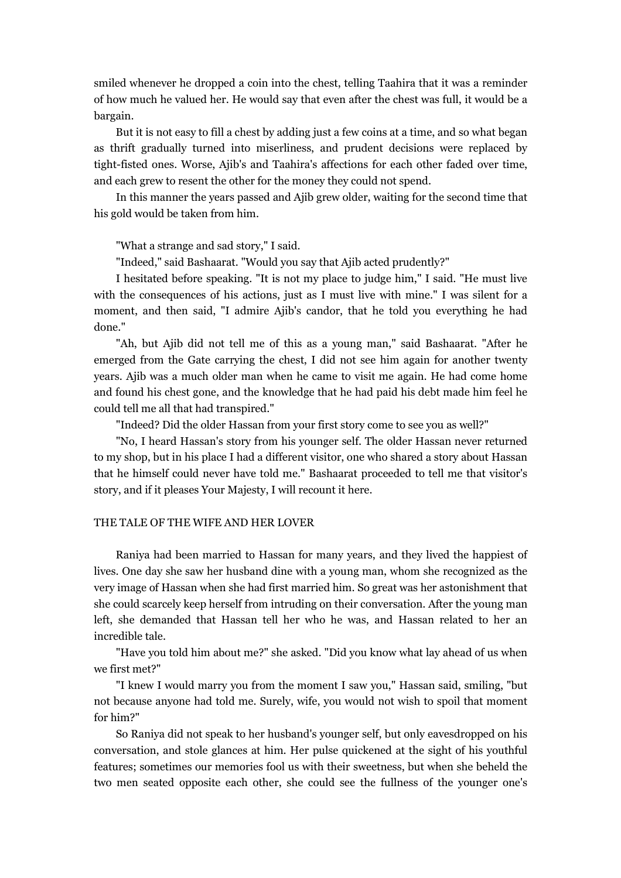smiled whenever he dropped a coin into the chest, telling Taahira that it was a reminder of how much he valued her. He would say that even after the chest was full, it would be a bargain.

 But it is not easy to fill a chest by adding just a few coins at a time, and so what began as thrift gradually turned into miserliness, and prudent decisions were replaced by tight-fisted ones. Worse, Ajib's and Taahira's affections for each other faded over time, and each grew to resent the other for the money they could not spend.

 In this manner the years passed and Ajib grew older, waiting for the second time that his gold would be taken from him.

"What a strange and sad story," I said.

"Indeed," said Bashaarat. "Would you say that Ajib acted prudently?"

 I hesitated before speaking. "It is not my place to judge him," I said. "He must live with the consequences of his actions, just as I must live with mine." I was silent for a moment, and then said, "I admire Ajib's candor, that he told you everything he had done."

 "Ah, but Ajib did not tell me of this as a young man," said Bashaarat. "After he emerged from the Gate carrying the chest, I did not see him again for another twenty years. Ajib was a much older man when he came to visit me again. He had come home and found his chest gone, and the knowledge that he had paid his debt made him feel he could tell me all that had transpired."

"Indeed? Did the older Hassan from your first story come to see you as well?"

 "No, I heard Hassan's story from his younger self. The older Hassan never returned to my shop, but in his place I had a different visitor, one who shared a story about Hassan that he himself could never have told me." Bashaarat proceeded to tell me that visitor's story, and if it pleases Your Majesty, I will recount it here.

## THE TALE OF THE WIFE AND HER LOVER

 Raniya had been married to Hassan for many years, and they lived the happiest of lives. One day she saw her husband dine with a young man, whom she recognized as the very image of Hassan when she had first married him. So great was her astonishment that she could scarcely keep herself from intruding on their conversation. After the young man left, she demanded that Hassan tell her who he was, and Hassan related to her an incredible tale.

 "Have you told him about me?" she asked. "Did you know what lay ahead of us when we first met?"

 "I knew I would marry you from the moment I saw you," Hassan said, smiling, "but not because anyone had told me. Surely, wife, you would not wish to spoil that moment for him?"

 So Raniya did not speak to her husband's younger self, but only eavesdropped on his conversation, and stole glances at him. Her pulse quickened at the sight of his youthful features; sometimes our memories fool us with their sweetness, but when she beheld the two men seated opposite each other, she could see the fullness of the younger one's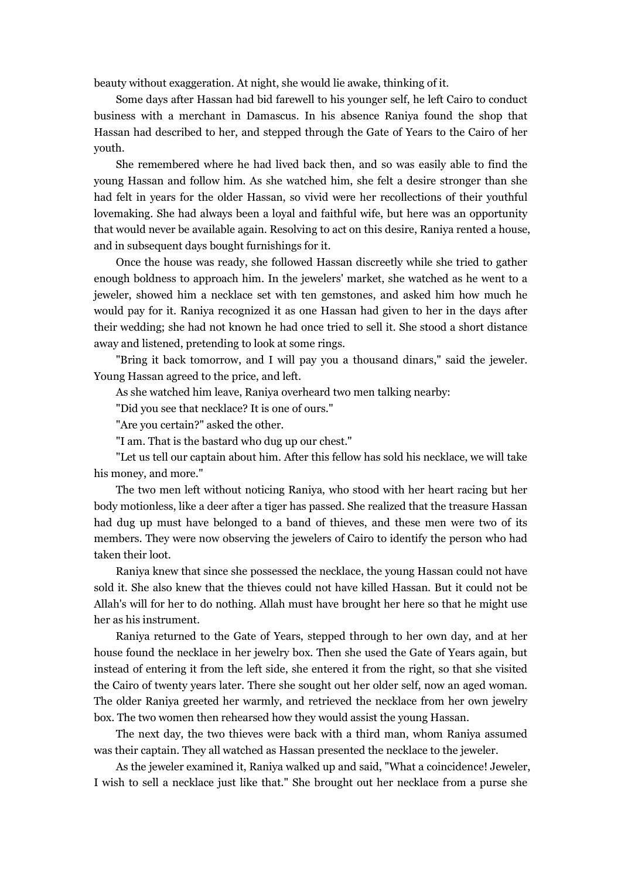beauty without exaggeration. At night, she would lie awake, thinking of it.

 Some days after Hassan had bid farewell to his younger self, he left Cairo to conduct business with a merchant in Damascus. In his absence Raniya found the shop that Hassan had described to her, and stepped through the Gate of Years to the Cairo of her youth.

 She remembered where he had lived back then, and so was easily able to find the young Hassan and follow him. As she watched him, she felt a desire stronger than she had felt in years for the older Hassan, so vivid were her recollections of their youthful lovemaking. She had always been a loyal and faithful wife, but here was an opportunity that would never be available again. Resolving to act on this desire, Raniya rented a house, and in subsequent days bought furnishings for it.

 Once the house was ready, she followed Hassan discreetly while she tried to gather enough boldness to approach him. In the jewelers' market, she watched as he went to a jeweler, showed him a necklace set with ten gemstones, and asked him how much he would pay for it. Raniya recognized it as one Hassan had given to her in the days after their wedding; she had not known he had once tried to sell it. She stood a short distance away and listened, pretending to look at some rings.

 "Bring it back tomorrow, and I will pay you a thousand dinars," said the jeweler. Young Hassan agreed to the price, and left.

As she watched him leave, Raniya overheard two men talking nearby:

"Did you see that necklace? It is one of ours."

"Are you certain?" asked the other.

"I am. That is the bastard who dug up our chest."

 "Let us tell our captain about him. After this fellow has sold his necklace, we will take his money, and more."

 The two men left without noticing Raniya, who stood with her heart racing but her body motionless, like a deer after a tiger has passed. She realized that the treasure Hassan had dug up must have belonged to a band of thieves, and these men were two of its members. They were now observing the jewelers of Cairo to identify the person who had taken their loot.

 Raniya knew that since she possessed the necklace, the young Hassan could not have sold it. She also knew that the thieves could not have killed Hassan. But it could not be Allah's will for her to do nothing. Allah must have brought her here so that he might use her as his instrument.

 Raniya returned to the Gate of Years, stepped through to her own day, and at her house found the necklace in her jewelry box. Then she used the Gate of Years again, but instead of entering it from the left side, she entered it from the right, so that she visited the Cairo of twenty years later. There she sought out her older self, now an aged woman. The older Raniya greeted her warmly, and retrieved the necklace from her own jewelry box. The two women then rehearsed how they would assist the young Hassan.

 The next day, the two thieves were back with a third man, whom Raniya assumed was their captain. They all watched as Hassan presented the necklace to the jeweler.

 As the jeweler examined it, Raniya walked up and said, "What a coincidence! Jeweler, I wish to sell a necklace just like that." She brought out her necklace from a purse she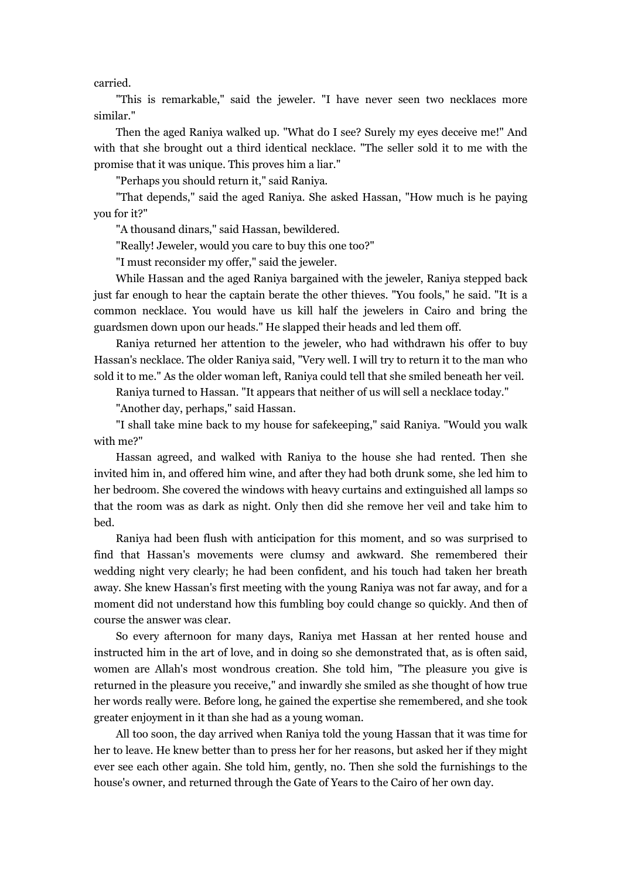carried.

 "This is remarkable," said the jeweler. "I have never seen two necklaces more similar."

 Then the aged Raniya walked up. "What do I see? Surely my eyes deceive me!" And with that she brought out a third identical necklace. "The seller sold it to me with the promise that it was unique. This proves him a liar."

"Perhaps you should return it," said Raniya.

 "That depends," said the aged Raniya. She asked Hassan, "How much is he paying you for it?"

"A thousand dinars," said Hassan, bewildered.

"Really! Jeweler, would you care to buy this one too?"

"I must reconsider my offer," said the jeweler.

 While Hassan and the aged Raniya bargained with the jeweler, Raniya stepped back just far enough to hear the captain berate the other thieves. "You fools," he said. "It is a common necklace. You would have us kill half the jewelers in Cairo and bring the guardsmen down upon our heads." He slapped their heads and led them off.

 Raniya returned her attention to the jeweler, who had withdrawn his offer to buy Hassan's necklace. The older Raniya said, "Very well. I will try to return it to the man who sold it to me." As the older woman left, Raniya could tell that she smiled beneath her veil.

Raniya turned to Hassan. "It appears that neither of us will sell a necklace today."

"Another day, perhaps," said Hassan.

 "I shall take mine back to my house for safekeeping," said Raniya. "Would you walk with me?"

 Hassan agreed, and walked with Raniya to the house she had rented. Then she invited him in, and offered him wine, and after they had both drunk some, she led him to her bedroom. She covered the windows with heavy curtains and extinguished all lamps so that the room was as dark as night. Only then did she remove her veil and take him to bed.

 Raniya had been flush with anticipation for this moment, and so was surprised to find that Hassan's movements were clumsy and awkward. She remembered their wedding night very clearly; he had been confident, and his touch had taken her breath away. She knew Hassan's first meeting with the young Raniya was not far away, and for a moment did not understand how this fumbling boy could change so quickly. And then of course the answer was clear.

 So every afternoon for many days, Raniya met Hassan at her rented house and instructed him in the art of love, and in doing so she demonstrated that, as is often said, women are Allah's most wondrous creation. She told him, "The pleasure you give is returned in the pleasure you receive," and inwardly she smiled as she thought of how true her words really were. Before long, he gained the expertise she remembered, and she took greater enjoyment in it than she had as a young woman.

 All too soon, the day arrived when Raniya told the young Hassan that it was time for her to leave. He knew better than to press her for her reasons, but asked her if they might ever see each other again. She told him, gently, no. Then she sold the furnishings to the house's owner, and returned through the Gate of Years to the Cairo of her own day.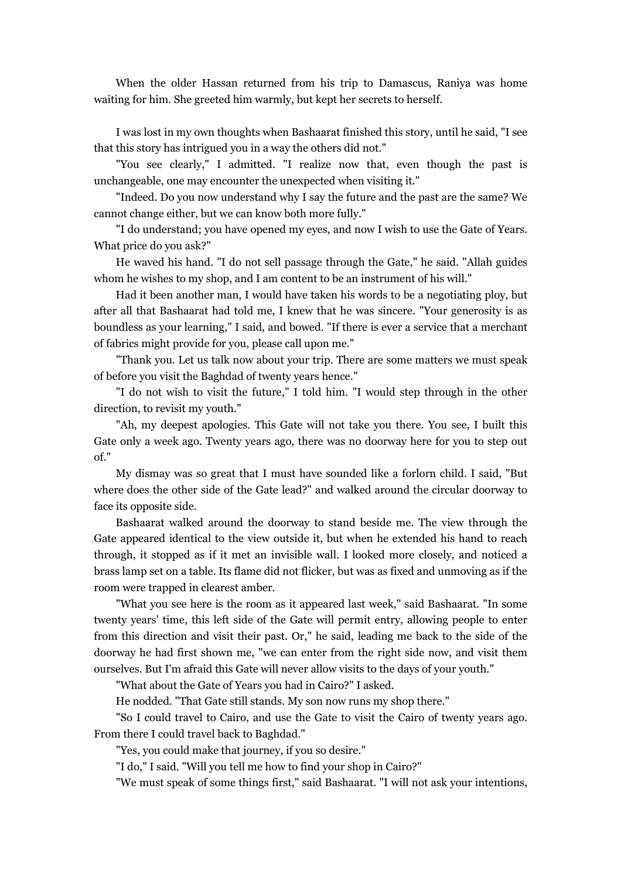When the older Hassan returned from his trip to Damascus, Raniya was home waiting for him. She greeted him warmly, but kept her secrets to herself.

 I was lost in my own thoughts when Bashaarat finished this story, until he said, "I see that this story has intrigued you in a way the others did not."

 "You see clearly," I admitted. "I realize now that, even though the past is unchangeable, one may encounter the unexpected when visiting it."

 "Indeed. Do you now understand why I say the future and the past are the same? We cannot change either, but we can know both more fully."

 "I do understand; you have opened my eyes, and now I wish to use the Gate of Years. What price do you ask?"

 He waved his hand. "I do not sell passage through the Gate," he said. "Allah guides whom he wishes to my shop, and I am content to be an instrument of his will."

 Had it been another man, I would have taken his words to be a negotiating ploy, but after all that Bashaarat had told me, I knew that he was sincere. "Your generosity is as boundless as your learning," I said, and bowed. "If there is ever a service that a merchant of fabrics might provide for you, please call upon me."

 "Thank you. Let us talk now about your trip. There are some matters we must speak of before you visit the Baghdad of twenty years hence."

 "I do not wish to visit the future," I told him. "I would step through in the other direction, to revisit my youth."

 "Ah, my deepest apologies. This Gate will not take you there. You see, I built this Gate only a week ago. Twenty years ago, there was no doorway here for you to step out of."

 My dismay was so great that I must have sounded like a forlorn child. I said, "But where does the other side of the Gate lead?" and walked around the circular doorway to face its opposite side.

 Bashaarat walked around the doorway to stand beside me. The view through the Gate appeared identical to the view outside it, but when he extended his hand to reach through, it stopped as if it met an invisible wall. I looked more closely, and noticed a brass lamp set on a table. Its flame did not flicker, but was as fixed and unmoving as if the room were trapped in clearest amber.

 "What you see here is the room as it appeared last week," said Bashaarat. "In some twenty years' time, this left side of the Gate will permit entry, allowing people to enter from this direction and visit their past. Or," he said, leading me back to the side of the doorway he had first shown me, "we can enter from the right side now, and visit them ourselves. But I'm afraid this Gate will never allow visits to the days of your youth."

"What about the Gate of Years you had in Cairo?" I asked.

He nodded. "That Gate still stands. My son now runs my shop there."

 "So I could travel to Cairo, and use the Gate to visit the Cairo of twenty years ago. From there I could travel back to Baghdad."

"Yes, you could make that journey, if you so desire."

"I do," I said. "Will you tell me how to find your shop in Cairo?"

"We must speak of some things first," said Bashaarat. "I will not ask your intentions,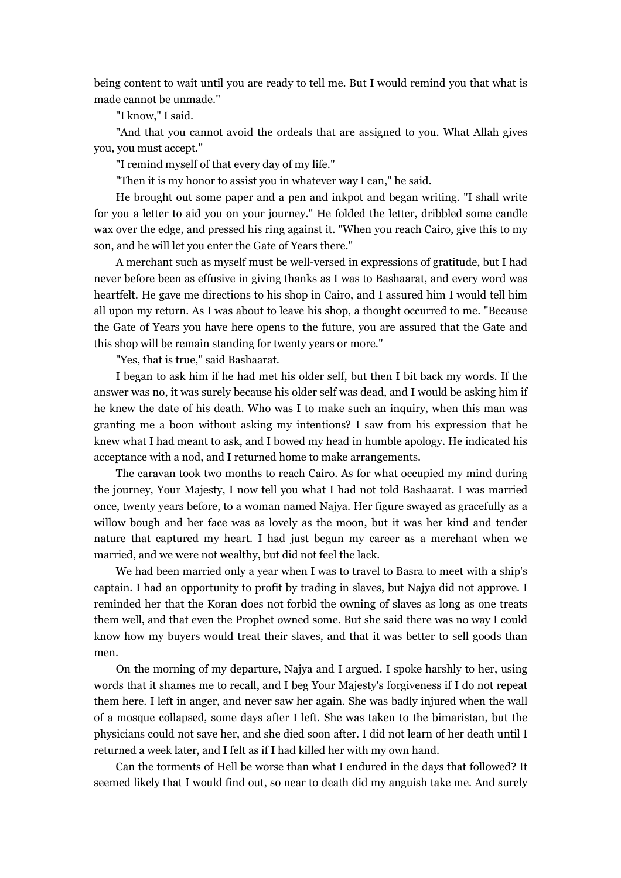being content to wait until you are ready to tell me. But I would remind you that what is made cannot be unmade."

"I know," I said.

 "And that you cannot avoid the ordeals that are assigned to you. What Allah gives you, you must accept."

"I remind myself of that every day of my life."

"Then it is my honor to assist you in whatever way I can," he said.

 He brought out some paper and a pen and inkpot and began writing. "I shall write for you a letter to aid you on your journey." He folded the letter, dribbled some candle wax over the edge, and pressed his ring against it. "When you reach Cairo, give this to my son, and he will let you enter the Gate of Years there."

 A merchant such as myself must be well-versed in expressions of gratitude, but I had never before been as effusive in giving thanks as I was to Bashaarat, and every word was heartfelt. He gave me directions to his shop in Cairo, and I assured him I would tell him all upon my return. As I was about to leave his shop, a thought occurred to me. "Because the Gate of Years you have here opens to the future, you are assured that the Gate and this shop will be remain standing for twenty years or more."

"Yes, that is true," said Bashaarat.

 I began to ask him if he had met his older self, but then I bit back my words. If the answer was no, it was surely because his older self was dead, and I would be asking him if he knew the date of his death. Who was I to make such an inquiry, when this man was granting me a boon without asking my intentions? I saw from his expression that he knew what I had meant to ask, and I bowed my head in humble apology. He indicated his acceptance with a nod, and I returned home to make arrangements.

 The caravan took two months to reach Cairo. As for what occupied my mind during the journey, Your Majesty, I now tell you what I had not told Bashaarat. I was married once, twenty years before, to a woman named Najya. Her figure swayed as gracefully as a willow bough and her face was as lovely as the moon, but it was her kind and tender nature that captured my heart. I had just begun my career as a merchant when we married, and we were not wealthy, but did not feel the lack.

 We had been married only a year when I was to travel to Basra to meet with a ship's captain. I had an opportunity to profit by trading in slaves, but Najya did not approve. I reminded her that the Koran does not forbid the owning of slaves as long as one treats them well, and that even the Prophet owned some. But she said there was no way I could know how my buyers would treat their slaves, and that it was better to sell goods than men.

 On the morning of my departure, Najya and I argued. I spoke harshly to her, using words that it shames me to recall, and I beg Your Majesty's forgiveness if I do not repeat them here. I left in anger, and never saw her again. She was badly injured when the wall of a mosque collapsed, some days after I left. She was taken to the bimaristan, but the physicians could not save her, and she died soon after. I did not learn of her death until I returned a week later, and I felt as if I had killed her with my own hand.

 Can the torments of Hell be worse than what I endured in the days that followed? It seemed likely that I would find out, so near to death did my anguish take me. And surely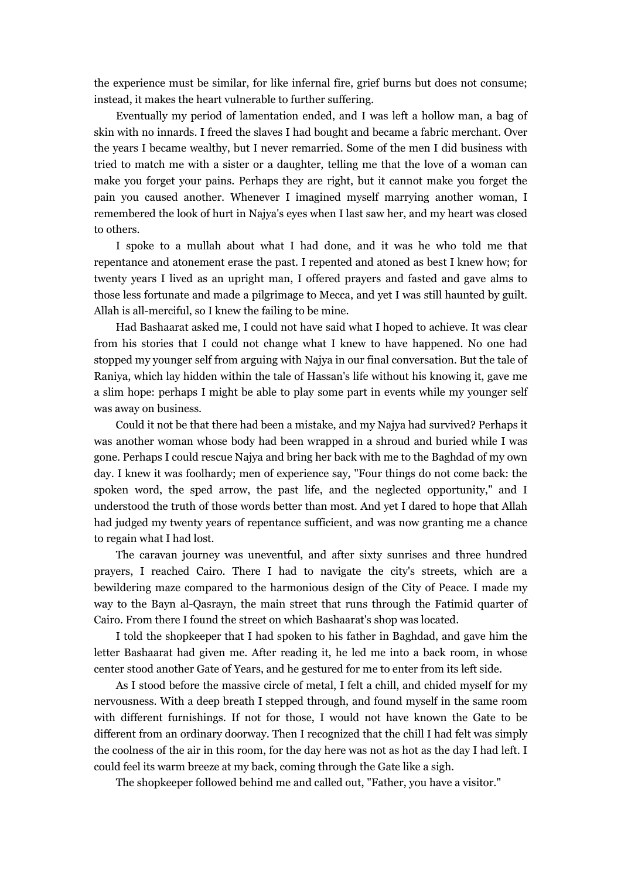the experience must be similar, for like infernal fire, grief burns but does not consume; instead, it makes the heart vulnerable to further suffering.

 Eventually my period of lamentation ended, and I was left a hollow man, a bag of skin with no innards. I freed the slaves I had bought and became a fabric merchant. Over the years I became wealthy, but I never remarried. Some of the men I did business with tried to match me with a sister or a daughter, telling me that the love of a woman can make you forget your pains. Perhaps they are right, but it cannot make you forget the pain you caused another. Whenever I imagined myself marrying another woman, I remembered the look of hurt in Najya's eyes when I last saw her, and my heart was closed to others.

 I spoke to a mullah about what I had done, and it was he who told me that repentance and atonement erase the past. I repented and atoned as best I knew how; for twenty years I lived as an upright man, I offered prayers and fasted and gave alms to those less fortunate and made a pilgrimage to Mecca, and yet I was still haunted by guilt. Allah is all-merciful, so I knew the failing to be mine.

 Had Bashaarat asked me, I could not have said what I hoped to achieve. It was clear from his stories that I could not change what I knew to have happened. No one had stopped my younger self from arguing with Najya in our final conversation. But the tale of Raniya, which lay hidden within the tale of Hassan's life without his knowing it, gave me a slim hope: perhaps I might be able to play some part in events while my younger self was away on business.

 Could it not be that there had been a mistake, and my Najya had survived? Perhaps it was another woman whose body had been wrapped in a shroud and buried while I was gone. Perhaps I could rescue Najya and bring her back with me to the Baghdad of my own day. I knew it was foolhardy; men of experience say, "Four things do not come back: the spoken word, the sped arrow, the past life, and the neglected opportunity," and I understood the truth of those words better than most. And yet I dared to hope that Allah had judged my twenty years of repentance sufficient, and was now granting me a chance to regain what I had lost.

 The caravan journey was uneventful, and after sixty sunrises and three hundred prayers, I reached Cairo. There I had to navigate the city's streets, which are a bewildering maze compared to the harmonious design of the City of Peace. I made my way to the Bayn al-Qasrayn, the main street that runs through the Fatimid quarter of Cairo. From there I found the street on which Bashaarat's shop was located.

 I told the shopkeeper that I had spoken to his father in Baghdad, and gave him the letter Bashaarat had given me. After reading it, he led me into a back room, in whose center stood another Gate of Years, and he gestured for me to enter from its left side.

 As I stood before the massive circle of metal, I felt a chill, and chided myself for my nervousness. With a deep breath I stepped through, and found myself in the same room with different furnishings. If not for those, I would not have known the Gate to be different from an ordinary doorway. Then I recognized that the chill I had felt was simply the coolness of the air in this room, for the day here was not as hot as the day I had left. I could feel its warm breeze at my back, coming through the Gate like a sigh.

The shopkeeper followed behind me and called out, "Father, you have a visitor."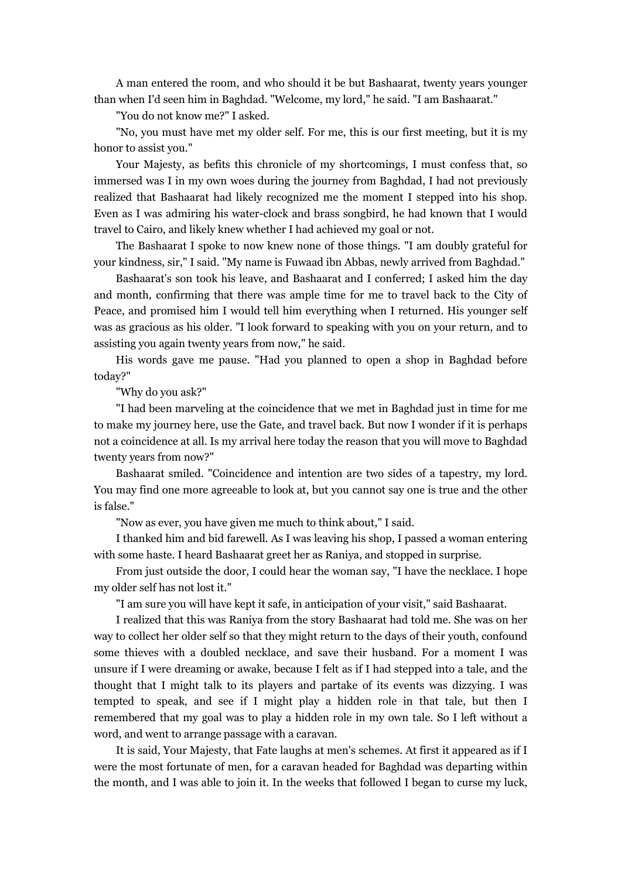A man entered the room, and who should it be but Bashaarat, twenty years younger than when I'd seen him in Baghdad. "Welcome, my lord," he said. "I am Bashaarat."

"You do not know me?" I asked.

 "No, you must have met my older self. For me, this is our first meeting, but it is my honor to assist you."

 Your Majesty, as befits this chronicle of my shortcomings, I must confess that, so immersed was I in my own woes during the journey from Baghdad, I had not previously realized that Bashaarat had likely recognized me the moment I stepped into his shop. Even as I was admiring his water-clock and brass songbird, he had known that I would travel to Cairo, and likely knew whether I had achieved my goal or not.

 The Bashaarat I spoke to now knew none of those things. "I am doubly grateful for your kindness, sir," I said. "My name is Fuwaad ibn Abbas, newly arrived from Baghdad."

 Bashaarat's son took his leave, and Bashaarat and I conferred; I asked him the day and month, confirming that there was ample time for me to travel back to the City of Peace, and promised him I would tell him everything when I returned. His younger self was as gracious as his older. "I look forward to speaking with you on your return, and to assisting you again twenty years from now," he said.

 His words gave me pause. "Had you planned to open a shop in Baghdad before today?"

"Why do you ask?"

 "I had been marveling at the coincidence that we met in Baghdad just in time for me to make my journey here, use the Gate, and travel back. But now I wonder if it is perhaps not a coincidence at all. Is my arrival here today the reason that you will move to Baghdad twenty years from now?"

 Bashaarat smiled. "Coincidence and intention are two sides of a tapestry, my lord. You may find one more agreeable to look at, but you cannot say one is true and the other is false."

"Now as ever, you have given me much to think about," I said.

 I thanked him and bid farewell. As I was leaving his shop, I passed a woman entering with some haste. I heard Bashaarat greet her as Raniya, and stopped in surprise.

 From just outside the door, I could hear the woman say, "I have the necklace. I hope my older self has not lost it."

"I am sure you will have kept it safe, in anticipation of your visit," said Bashaarat.

 I realized that this was Raniya from the story Bashaarat had told me. She was on her way to collect her older self so that they might return to the days of their youth, confound some thieves with a doubled necklace, and save their husband. For a moment I was unsure if I were dreaming or awake, because I felt as if I had stepped into a tale, and the thought that I might talk to its players and partake of its events was dizzying. I was tempted to speak, and see if I might play a hidden role in that tale, but then I remembered that my goal was to play a hidden role in my own tale. So I left without a word, and went to arrange passage with a caravan.

 It is said, Your Majesty, that Fate laughs at men's schemes. At first it appeared as if I were the most fortunate of men, for a caravan headed for Baghdad was departing within the month, and I was able to join it. In the weeks that followed I began to curse my luck,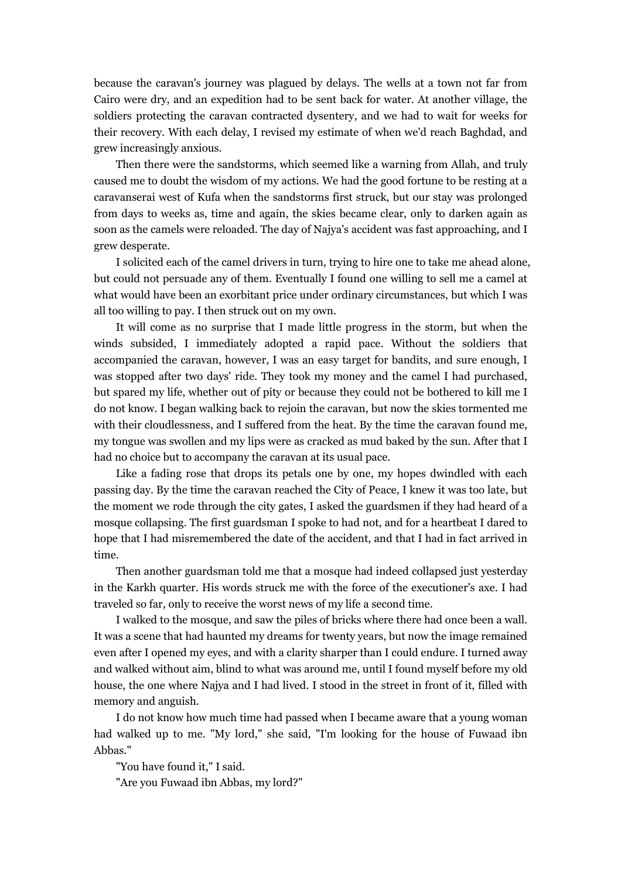because the caravan's journey was plagued by delays. The wells at a town not far from Cairo were dry, and an expedition had to be sent back for water. At another village, the soldiers protecting the caravan contracted dysentery, and we had to wait for weeks for their recovery. With each delay, I revised my estimate of when we'd reach Baghdad, and grew increasingly anxious.

 Then there were the sandstorms, which seemed like a warning from Allah, and truly caused me to doubt the wisdom of my actions. We had the good fortune to be resting at a caravanserai west of Kufa when the sandstorms first struck, but our stay was prolonged from days to weeks as, time and again, the skies became clear, only to darken again as soon as the camels were reloaded. The day of Najya's accident was fast approaching, and I grew desperate.

 I solicited each of the camel drivers in turn, trying to hire one to take me ahead alone, but could not persuade any of them. Eventually I found one willing to sell me a camel at what would have been an exorbitant price under ordinary circumstances, but which I was all too willing to pay. I then struck out on my own.

 It will come as no surprise that I made little progress in the storm, but when the winds subsided, I immediately adopted a rapid pace. Without the soldiers that accompanied the caravan, however, I was an easy target for bandits, and sure enough, I was stopped after two days' ride. They took my money and the camel I had purchased, but spared my life, whether out of pity or because they could not be bothered to kill me I do not know. I began walking back to rejoin the caravan, but now the skies tormented me with their cloudlessness, and I suffered from the heat. By the time the caravan found me, my tongue was swollen and my lips were as cracked as mud baked by the sun. After that I had no choice but to accompany the caravan at its usual pace.

 Like a fading rose that drops its petals one by one, my hopes dwindled with each passing day. By the time the caravan reached the City of Peace, I knew it was too late, but the moment we rode through the city gates, I asked the guardsmen if they had heard of a mosque collapsing. The first guardsman I spoke to had not, and for a heartbeat I dared to hope that I had misremembered the date of the accident, and that I had in fact arrived in time.

 Then another guardsman told me that a mosque had indeed collapsed just yesterday in the Karkh quarter. His words struck me with the force of the executioner's axe. I had traveled so far, only to receive the worst news of my life a second time.

 I walked to the mosque, and saw the piles of bricks where there had once been a wall. It was a scene that had haunted my dreams for twenty years, but now the image remained even after I opened my eyes, and with a clarity sharper than I could endure. I turned away and walked without aim, blind to what was around me, until I found myself before my old house, the one where Najya and I had lived. I stood in the street in front of it, filled with memory and anguish.

 I do not know how much time had passed when I became aware that a young woman had walked up to me. "My lord," she said, "I'm looking for the house of Fuwaad ibn Abbas."

"You have found it," I said.

"Are you Fuwaad ibn Abbas, my lord?"